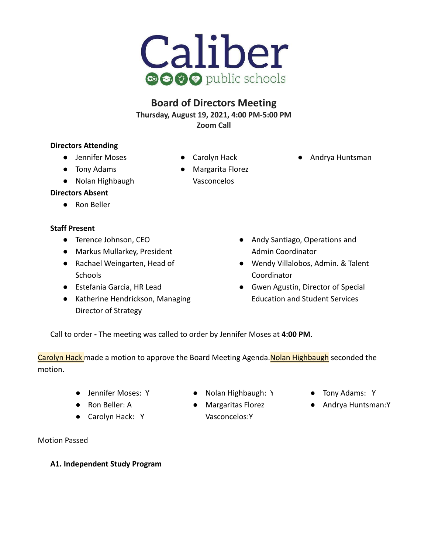

## **Board of Directors Meeting Thursday, August 19, 2021, 4:00 PM-5:00 PM Zoom Call**

### **Directors Attending**

- **●** Jennifer Moses
- Tony Adams
- Nolan Highbaugh
- Carolyn Hack
- Margarita Florez Vasconcelos
- Andrya Huntsman

- **Directors Absent**
	- Ron Beller

### **Staff Present**

- Terence Johnson, CEO
- Markus Mullarkey, President
- Rachael Weingarten, Head of **Schools**
- Estefania Garcia, HR Lead
- Katherine Hendrickson, Managing Director of Strategy
- Andy Santiago, Operations and Admin Coordinator
- Wendy Villalobos, Admin. & Talent Coordinator
- Gwen Agustin, Director of Special Education and Student Services

Call to order **-** The meeting was called to order by Jennifer Moses at **4:00 PM**.

Carolyn Hack made a motion to approve the Board Meeting Agenda. Nolan Highbaugh seconded the motion.

- 
- Ron Beller: A
- Carolyn Hack: Y

Motion Passed

- Jennifer Moses: Y Nolan Highbaugh: Y Tony Adams: Y
	- Margaritas Florez Vasconcelos:Y
- 
- Andrya Huntsman:Y

### **A1. Independent Study Program**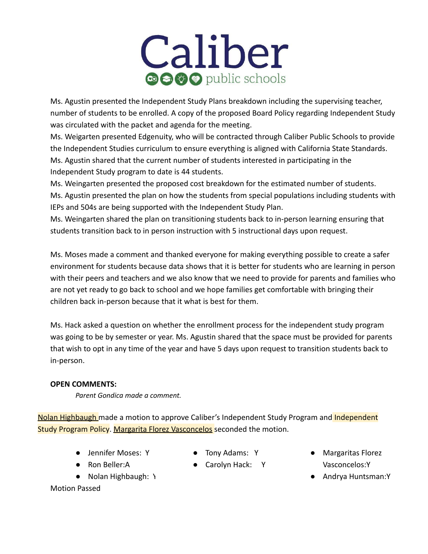# Caliber **a s & public schools**

Ms. Agustin presented the Independent Study Plans breakdown including the supervising teacher, number of students to be enrolled. A copy of the proposed Board Policy regarding Independent Study was circulated with the packet and agenda for the meeting.

Ms. Weigarten presented Edgenuity, who will be contracted through Caliber Public Schools to provide the Independent Studies curriculum to ensure everything is aligned with California State Standards. Ms. Agustin shared that the current number of students interested in participating in the Independent Study program to date is 44 students.

Ms. Weingarten presented the proposed cost breakdown for the estimated number of students. Ms. Agustin presented the plan on how the students from special populations including students with IEPs and 504s are being supported with the Independent Study Plan.

Ms. Weingarten shared the plan on transitioning students back to in-person learning ensuring that students transition back to in person instruction with 5 instructional days upon request.

Ms. Moses made a comment and thanked everyone for making everything possible to create a safer environment for students because data shows that it is better for students who are learning in person with their peers and teachers and we also know that we need to provide for parents and families who are not yet ready to go back to school and we hope families get comfortable with bringing their children back in-person because that it what is best for them.

Ms. Hack asked a question on whether the enrollment process for the independent study program was going to be by semester or year. Ms. Agustin shared that the space must be provided for parents that wish to opt in any time of the year and have 5 days upon request to transition students back to in-person.

### **OPEN COMMENTS:**

*Parent Gondica made a comment.*

Nolan Highbaugh made a motion to approve Caliber's Independent Study Program and Independent Study Program Policy. Margarita Florez Vasconcelos seconded the motion.

● Jennifer Moses: Y

● Nolan Highbaugh: \

● Ron Beller:A

- Tony Adams: Y
- Carolyn Hack: Y
- Margaritas Florez Vasconcelos:Y
- Andrya Huntsman:Y

Motion Passed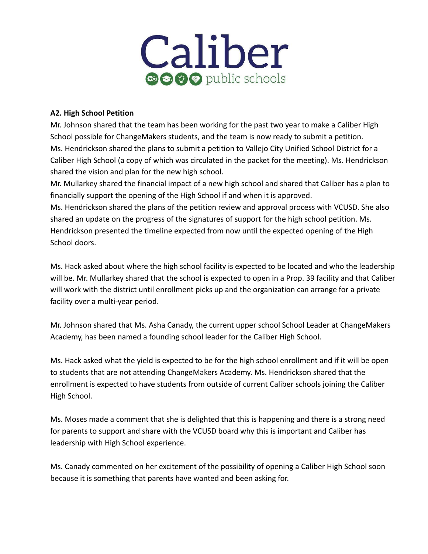

### **A2. High School Petition**

Mr. Johnson shared that the team has been working for the past two year to make a Caliber High School possible for ChangeMakers students, and the team is now ready to submit a petition. Ms. Hendrickson shared the plans to submit a petition to Vallejo City Unified School District for a Caliber High School (a copy of which was circulated in the packet for the meeting). Ms. Hendrickson shared the vision and plan for the new high school.

Mr. Mullarkey shared the financial impact of a new high school and shared that Caliber has a plan to financially support the opening of the High School if and when it is approved.

Ms. Hendrickson shared the plans of the petition review and approval process with VCUSD. She also shared an update on the progress of the signatures of support for the high school petition. Ms. Hendrickson presented the timeline expected from now until the expected opening of the High School doors.

Ms. Hack asked about where the high school facility is expected to be located and who the leadership will be. Mr. Mullarkey shared that the school is expected to open in a Prop. 39 facility and that Caliber will work with the district until enrollment picks up and the organization can arrange for a private facility over a multi-year period.

Mr. Johnson shared that Ms. Asha Canady, the current upper school School Leader at ChangeMakers Academy, has been named a founding school leader for the Caliber High School.

Ms. Hack asked what the yield is expected to be for the high school enrollment and if it will be open to students that are not attending ChangeMakers Academy. Ms. Hendrickson shared that the enrollment is expected to have students from outside of current Caliber schools joining the Caliber High School.

Ms. Moses made a comment that she is delighted that this is happening and there is a strong need for parents to support and share with the VCUSD board why this is important and Caliber has leadership with High School experience.

Ms. Canady commented on her excitement of the possibility of opening a Caliber High School soon because it is something that parents have wanted and been asking for.